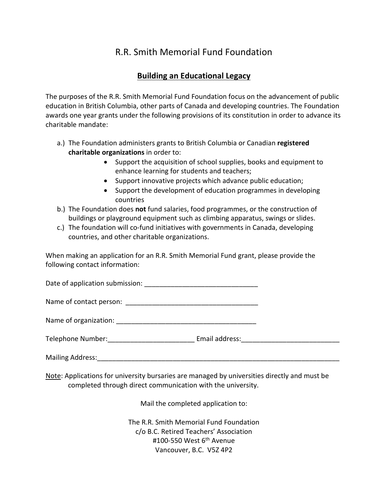## R.R. Smith Memorial Fund Foundation

## **Building an Educational Legacy**

The purposes of the R.R. Smith Memorial Fund Foundation focus on the advancement of public education in British Columbia, other parts of Canada and developing countries. The Foundation awards one year grants under the following provisions of its constitution in order to advance its charitable mandate:

- a.) The Foundation administers grants to British Columbia or Canadian **registered charitable organizations** in order to:
	- Support the acquisition of school supplies, books and equipment to enhance learning for students and teachers;
	- Support innovative projects which advance public education;
	- Support the development of education programmes in developing countries
- b.) The Foundation does **not** fund salaries, food programmes, or the construction of buildings or playground equipment such as climbing apparatus, swings or slides.
- c.) The foundation will co-fund initiatives with governments in Canada, developing countries, and other charitable organizations.

When making an application for an R.R. Smith Memorial Fund grant, please provide the following contact information:

Date of application submission: \_\_\_\_\_\_\_\_\_\_\_\_\_\_\_\_\_\_\_\_\_\_\_\_\_\_\_\_\_\_

Name of contact person: \_\_\_\_\_\_\_\_\_\_\_\_\_\_\_\_\_\_\_\_\_\_\_\_\_\_\_\_\_\_\_\_\_\_\_

| Name of organization: |  |
|-----------------------|--|
|-----------------------|--|

Telephone Number:\_\_\_\_\_\_\_\_\_\_\_\_\_\_\_\_\_\_\_\_\_\_\_ Email address:\_\_\_\_\_\_\_\_\_\_\_\_\_\_\_\_\_\_\_\_\_\_\_\_\_\_

Mailing Address: <u>example</u> and the set of the set of the set of the set of the set of the set of the set of the set of the set of the set of the set of the set of the set of the set of the set of the set of the set of the

Note: Applications for university bursaries are managed by universities directly and must be completed through direct communication with the university.

Mail the completed application to:

The R.R. Smith Memorial Fund Foundation c/o B.C. Retired Teachers' Association #100-550 West 6<sup>th</sup> Avenue Vancouver, B.C. V5Z 4P2